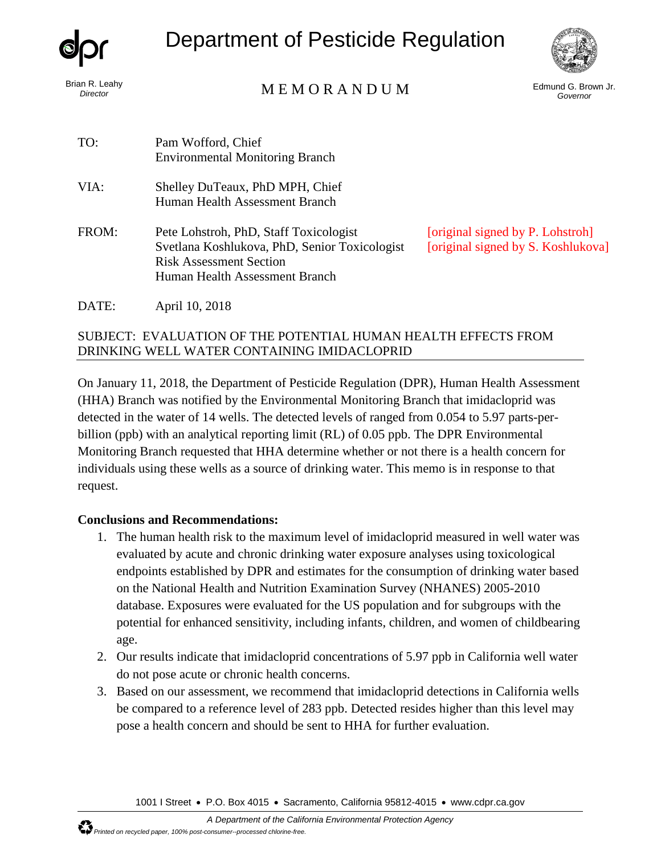

*Director*

# Department of Pesticide Regulation



Brian R. Leahy<br>
Circotor

Edmund G. Brown Jr. *Governor*

| TO:   | Pam Wofford, Chief<br><b>Environmental Monitoring Branch</b>                                                                                                |                                                                        |
|-------|-------------------------------------------------------------------------------------------------------------------------------------------------------------|------------------------------------------------------------------------|
| VIA:  | Shelley DuTeaux, PhD MPH, Chief<br>Human Health Assessment Branch                                                                                           |                                                                        |
| FROM: | Pete Lohstroh, PhD, Staff Toxicologist<br>Svetlana Koshlukova, PhD, Senior Toxicologist<br><b>Risk Assessment Section</b><br>Human Health Assessment Branch | [original signed by P. Lohstroh]<br>[original signed by S. Koshlukova] |
| DATE: | April 10, 2018                                                                                                                                              |                                                                        |

#### SUBJECT: EVALUATION OF THE POTENTIAL HUMAN HEALTH EFFECTS FROM DRINKING WELL WATER CONTAINING IMIDACLOPRID

On January 11, 2018, the Department of Pesticide Regulation (DPR), Human Health Assessment (HHA) Branch was notified by the Environmental Monitoring Branch that imidacloprid was detected in the water of 14 wells. The detected levels of ranged from 0.054 to 5.97 parts-perbillion (ppb) with an analytical reporting limit (RL) of 0.05 ppb. The DPR Environmental Monitoring Branch requested that HHA determine whether or not there is a health concern for individuals using these wells as a source of drinking water. This memo is in response to that request.

#### **Conclusions and Recommendations:**

- 1. The human health risk to the maximum level of imidacloprid measured in well water was evaluated by acute and chronic drinking water exposure analyses using toxicological endpoints established by DPR and estimates for the consumption of drinking water based on the National Health and Nutrition Examination Survey (NHANES) 2005-2010 database. Exposures were evaluated for the US population and for subgroups with the potential for enhanced sensitivity, including infants, children, and women of childbearing age.
- 2. Our results indicate that imidacloprid concentrations of 5.97 ppb in California well water do not pose acute or chronic health concerns.
- 3. Based on our assessment, we recommend that imidacloprid detections in California wells be compared to a reference level of 283 ppb. Detected resides higher than this level may pose a health concern and should be sent to HHA for further evaluation.

1001 I Street • P.O. Box 4015 • Sacramento, California 95812-4015 • [www.cdpr.ca.gov](http://www.cdpr.ca.gov/)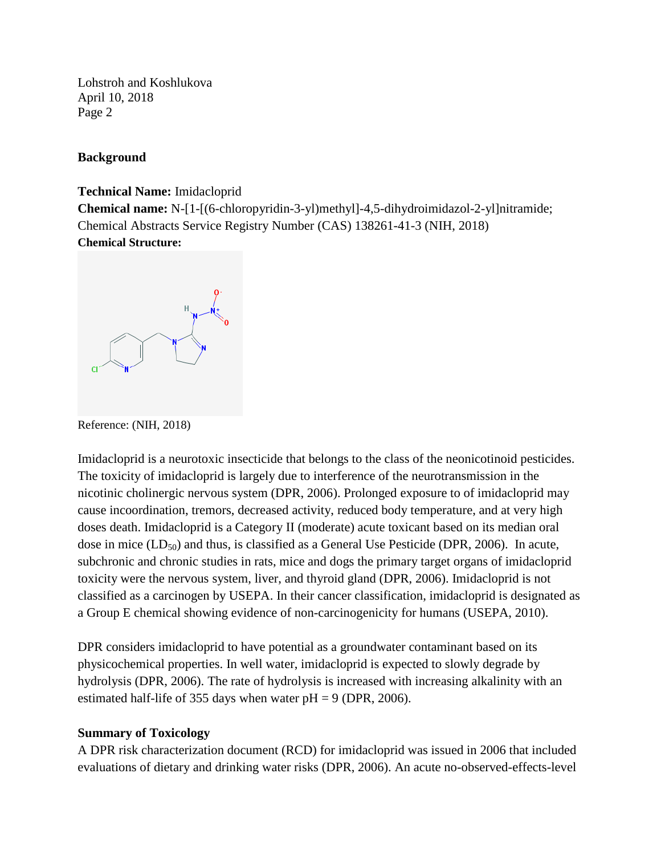#### **Background**

#### **Technical Name:** Imidacloprid

**Chemical name:** N-[1-[(6-chloropyridin-3-yl)methyl]-4,5-dihydroimidazol-2-yl]nitramide; Chemical Abstracts Service Registry Number (CAS) 138261-41-3 (NIH, 2018) **Chemical Structure:**



Reference: (NIH, 2018)

Imidacloprid is a neurotoxic insecticide that belongs to the class of the neonicotinoid pesticides. The toxicity of imidacloprid is largely due to interference of the neurotransmission in the nicotinic cholinergic nervous system (DPR, 2006). Prolonged exposure to of imidacloprid may cause incoordination, tremors, decreased activity, reduced body temperature, and at very high doses death. Imidacloprid is a Category II (moderate) acute toxicant based on its median oral dose in mice  $(LD_{50})$  and thus, is classified as a General Use Pesticide (DPR, 2006). In acute, subchronic and chronic studies in rats, mice and dogs the primary target organs of imidacloprid toxicity were the nervous system, liver, and thyroid gland (DPR, 2006). Imidacloprid is not classified as a carcinogen by USEPA. In their cancer classification, imidacloprid is designated as a Group E chemical showing evidence of non-carcinogenicity for humans (USEPA, 2010).

DPR considers imidacloprid to have potential as a groundwater contaminant based on its physicochemical properties. In well water, imidacloprid is expected to slowly degrade by hydrolysis (DPR, 2006). The rate of hydrolysis is increased with increasing alkalinity with an estimated half-life of 355 days when water  $pH = 9$  (DPR, 2006).

#### **Summary of Toxicology**

A DPR risk characterization document (RCD) for imidacloprid was issued in 2006 that included evaluations of dietary and drinking water risks (DPR, 2006). An acute no-observed-effects-level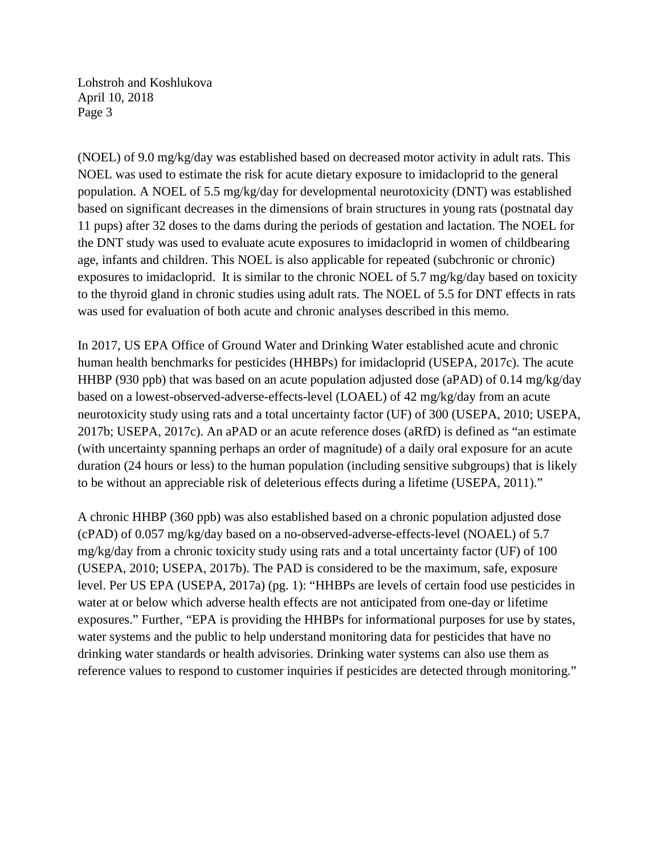(NOEL) of 9.0 mg/kg/day was established based on decreased motor activity in adult rats. This NOEL was used to estimate the risk for acute dietary exposure to imidacloprid to the general population. A NOEL of 5.5 mg/kg/day for developmental neurotoxicity (DNT) was established based on significant decreases in the dimensions of brain structures in young rats (postnatal day 11 pups) after 32 doses to the dams during the periods of gestation and lactation. The NOEL for the DNT study was used to evaluate acute exposures to imidacloprid in women of childbearing age, infants and children. This NOEL is also applicable for repeated (subchronic or chronic) exposures to imidacloprid. It is similar to the chronic NOEL of 5.7 mg/kg/day based on toxicity to the thyroid gland in chronic studies using adult rats. The NOEL of 5.5 for DNT effects in rats was used for evaluation of both acute and chronic analyses described in this memo.

In 2017, US EPA Office of Ground Water and Drinking Water established acute and chronic human health benchmarks for pesticides (HHBPs) for imidacloprid (USEPA, 2017c). The acute HHBP (930 ppb) that was based on an acute population adjusted dose (aPAD) of 0.14 mg/kg/day based on a lowest-observed-adverse-effects-level (LOAEL) of 42 mg/kg/day from an acute neurotoxicity study using rats and a total uncertainty factor (UF) of 300 (USEPA, 2010; USEPA, 2017b; USEPA, 2017c). An aPAD or an acute reference doses (aRfD) is defined as "an estimate (with uncertainty spanning perhaps an order of magnitude) of a daily oral exposure for an acute duration (24 hours or less) to the human population (including sensitive subgroups) that is likely to be without an appreciable risk of deleterious effects during a lifetime (USEPA, 2011)."

A chronic HHBP (360 ppb) was also established based on a chronic population adjusted dose (cPAD) of 0.057 mg/kg/day based on a no-observed-adverse-effects-level (NOAEL) of 5.7 mg/kg/day from a chronic toxicity study using rats and a total uncertainty factor (UF) of 100 (USEPA, 2010; USEPA, 2017b). The PAD is considered to be the maximum, safe, exposure level. Per US EPA (USEPA, 2017a) (pg. 1): "HHBPs are levels of certain food use pesticides in water at or below which adverse health effects are not anticipated from one-day or lifetime exposures." Further, "EPA is providing the HHBPs for informational purposes for use by states, water systems and the public to help understand monitoring data for pesticides that have no drinking water standards or health advisories. Drinking water systems can also use them as reference values to respond to customer inquiries if pesticides are detected through monitoring."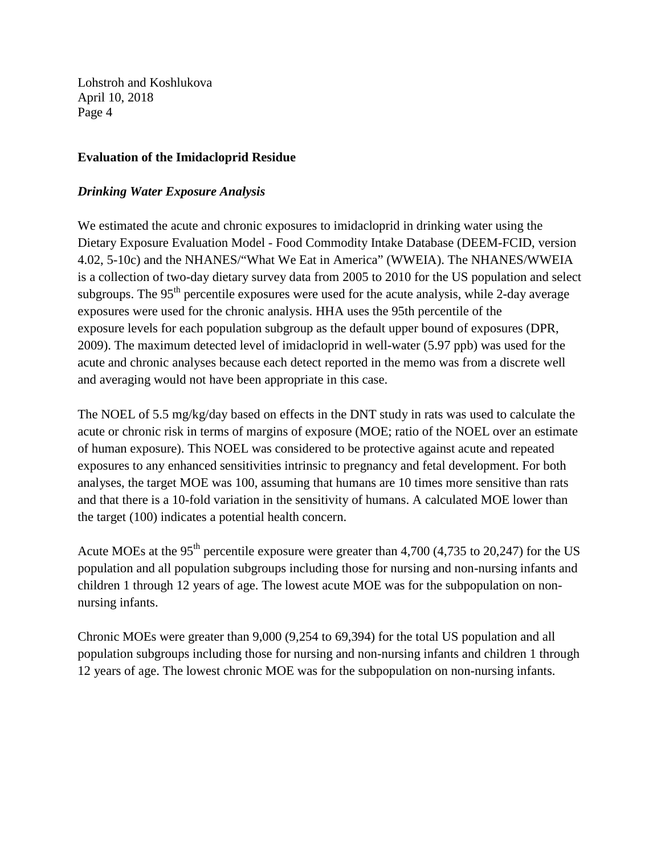#### **Evaluation of the Imidacloprid Residue**

#### *Drinking Water Exposure Analysis*

We estimated the acute and chronic exposures to imidacloprid in drinking water using the Dietary Exposure Evaluation Model - Food Commodity Intake Database (DEEM-FCID, version 4.02, 5-10c) and the NHANES/"What We Eat in America" (WWEIA). The NHANES/WWEIA is a collection of two-day dietary survey data from 2005 to 2010 for the US population and select subgroups. The 95<sup>th</sup> percentile exposures were used for the acute analysis, while 2-day average exposures were used for the chronic analysis. HHA uses the 95th percentile of the exposure levels for each population subgroup as the default upper bound of exposures (DPR, 2009). The maximum detected level of imidacloprid in well-water (5.97 ppb) was used for the acute and chronic analyses because each detect reported in the memo was from a discrete well and averaging would not have been appropriate in this case.

The NOEL of 5.5 mg/kg/day based on effects in the DNT study in rats was used to calculate the acute or chronic risk in terms of margins of exposure (MOE; ratio of the NOEL over an estimate of human exposure). This NOEL was considered to be protective against acute and repeated exposures to any enhanced sensitivities intrinsic to pregnancy and fetal development. For both analyses, the target MOE was 100, assuming that humans are 10 times more sensitive than rats and that there is a 10-fold variation in the sensitivity of humans. A calculated MOE lower than the target (100) indicates a potential health concern.

Acute MOEs at the 95<sup>th</sup> percentile exposure were greater than 4,700 (4,735 to 20,247) for the US population and all population subgroups including those for nursing and non-nursing infants and children 1 through 12 years of age. The lowest acute MOE was for the subpopulation on nonnursing infants.

Chronic MOEs were greater than 9,000 (9,254 to 69,394) for the total US population and all population subgroups including those for nursing and non-nursing infants and children 1 through 12 years of age. The lowest chronic MOE was for the subpopulation on non-nursing infants.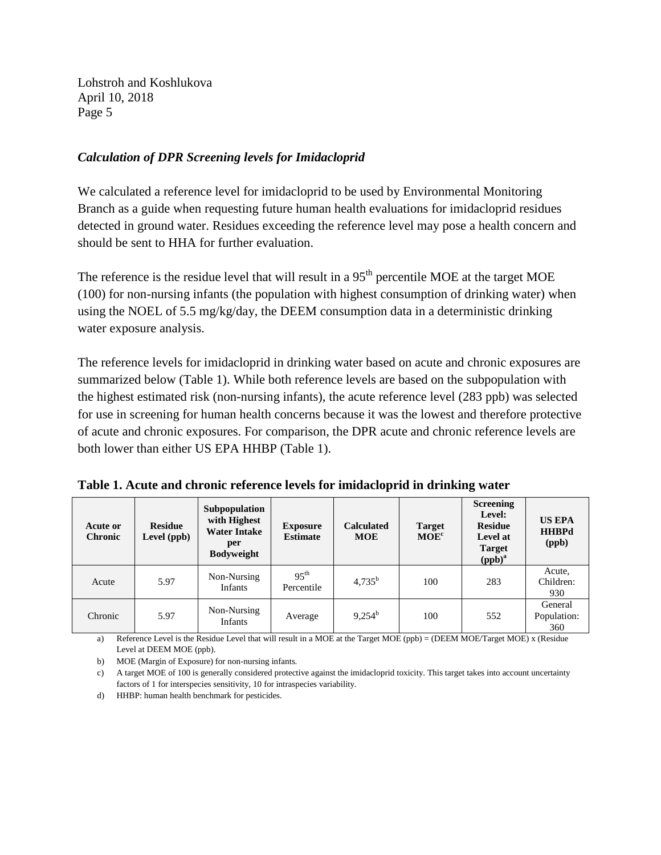#### *Calculation of DPR Screening levels for Imidacloprid*

We calculated a reference level for imidacloprid to be used by Environmental Monitoring Branch as a guide when requesting future human health evaluations for imidacloprid residues detected in ground water. Residues exceeding the reference level may pose a health concern and should be sent to HHA for further evaluation.

The reference is the residue level that will result in a 95<sup>th</sup> percentile MOE at the target MOE (100) for non-nursing infants (the population with highest consumption of drinking water) when using the NOEL of 5.5 mg/kg/day, the DEEM consumption data in a deterministic drinking water exposure analysis.

The reference levels for imidacloprid in drinking water based on acute and chronic exposures are summarized below (Table 1). While both reference levels are based on the subpopulation with the highest estimated risk (non-nursing infants), the acute reference level (283 ppb) was selected for use in screening for human health concerns because it was the lowest and therefore protective of acute and chronic exposures. For comparison, the DPR acute and chronic reference levels are both lower than either US EPA HHBP (Table 1).

| Table 1. Acute and chronic reference levels for imidacloprid in drinking water |  |  |  |  |  |  |  |  |  |
|--------------------------------------------------------------------------------|--|--|--|--|--|--|--|--|--|
|--------------------------------------------------------------------------------|--|--|--|--|--|--|--|--|--|

| Acute or<br><b>Chronic</b> | <b>Residue</b><br>Level (ppb) | Subpopulation<br>with Highest<br><b>Water Intake</b><br>per<br><b>Bodyweight</b> | <b>Exposure</b><br><b>Estimate</b> | <b>Calculated</b><br><b>MOE</b> | <b>Target</b><br>MOE <sup>c</sup> | <b>Screening</b><br>Level:<br><b>Residue</b><br>Level at<br><b>Target</b><br>$(ppb)^a$ | <b>US EPA</b><br><b>HHBPd</b><br>(ppb) |
|----------------------------|-------------------------------|----------------------------------------------------------------------------------|------------------------------------|---------------------------------|-----------------------------------|----------------------------------------------------------------------------------------|----------------------------------------|
| Acute                      | 5.97                          | Non-Nursing<br><b>Infants</b>                                                    | $95^{\text{th}}$<br>Percentile     | $4,735^b$                       | 100                               | 283                                                                                    | Acute,<br>Children:<br>930             |
| Chronic                    | 5.97                          | Non-Nursing<br>Infants                                                           | Average                            | $9,254^{\rm b}$                 | 100                               | 552                                                                                    | General<br>Population:<br>360          |

a) Reference Level is the Residue Level that will result in a MOE at the Target MOE (ppb) = (DEEM MOE/Target MOE) x (Residue Level at DEEM MOE (ppb).

b) MOE (Margin of Exposure) for non-nursing infants.

d) HHBP: human health benchmark for pesticides.

c) A target MOE of 100 is generally considered protective against the imidacloprid toxicity. This target takes into account uncertainty factors of 1 for interspecies sensitivity, 10 for intraspecies variability.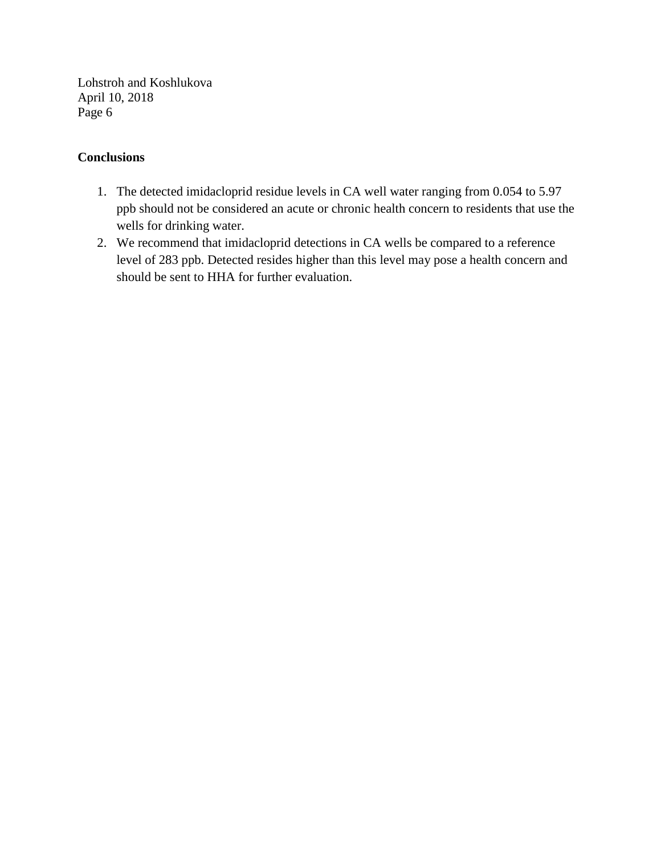#### **Conclusions**

- 1. The detected imidacloprid residue levels in CA well water ranging from 0.054 to 5.97 ppb should not be considered an acute or chronic health concern to residents that use the wells for drinking water.
- 2. We recommend that imidacloprid detections in CA wells be compared to a reference level of 283 ppb. Detected resides higher than this level may pose a health concern and should be sent to HHA for further evaluation.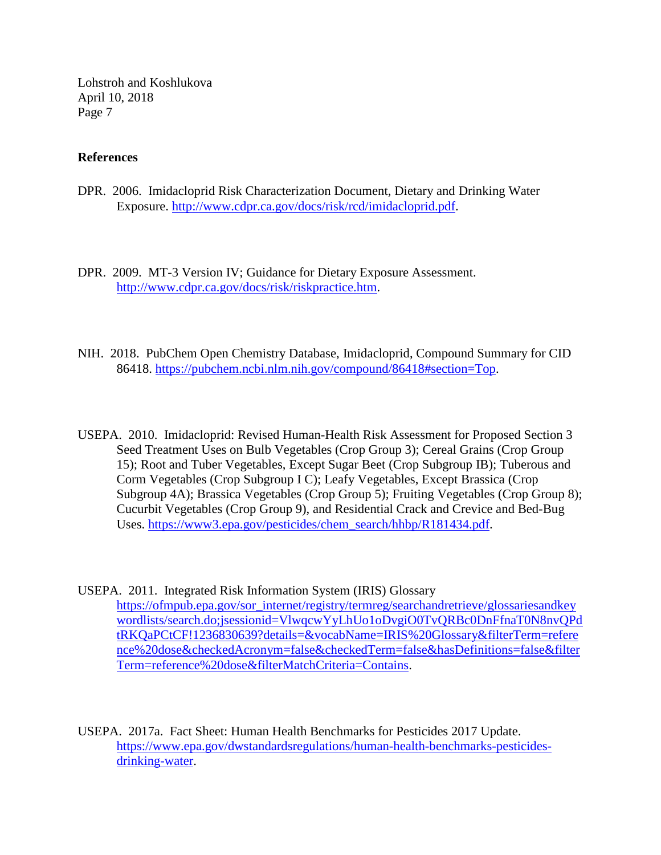#### **References**

- DPR. 2006. Imidacloprid Risk Characterization Document, Dietary and Drinking Water Exposure. [http://www.cdpr.ca.gov/docs/risk/rcd/imidacloprid.pdf.](http://www.cdpr.ca.gov/docs/risk/rcd/imidacloprid.pdf)
- DPR. 2009. MT-3 Version IV; Guidance for Dietary Exposure Assessment. [http://www.cdpr.ca.gov/docs/risk/riskpractice.htm.](http://www.cdpr.ca.gov/docs/risk/riskpractice.htm)
- NIH. 2018. PubChem Open Chemistry Database, Imidacloprid, Compound Summary for CID 86418. [https://pubchem.ncbi.nlm.nih.gov/compound/86418#section=Top.](https://pubchem.ncbi.nlm.nih.gov/compound/86418#section=Top)
- USEPA. 2010. Imidacloprid: Revised Human-Health Risk Assessment for Proposed Section 3 Seed Treatment Uses on Bulb Vegetables (Crop Group 3); Cereal Grains (Crop Group 15); Root and Tuber Vegetables, Except Sugar Beet (Crop Subgroup IB); Tuberous and Corm Vegetables (Crop Subgroup I C); Leafy Vegetables, Except Brassica (Crop Subgroup 4A); Brassica Vegetables (Crop Group 5); Fruiting Vegetables (Crop Group 8); Cucurbit Vegetables (Crop Group 9), and Residential Crack and Crevice and Bed-Bug Uses. [https://www3.epa.gov/pesticides/chem\\_search/hhbp/R181434.pdf.](https://www3.epa.gov/pesticides/chem_search/hhbp/R181434.pdf)
- USEPA. 2011. Integrated Risk Information System (IRIS) Glossary [https://ofmpub.epa.gov/sor\\_internet/registry/termreg/searchandretrieve/glossariesandkey](https://ofmpub.epa.gov/sor_internet/registry/termreg/searchandretrieve/glossariesandkeywordlists/search.do;jsessionid=VlwqcwYyLhUo1oDvgiO0TvQRBc0DnFfnaT0N8nvQPdtRKQaPCtCF!1236830639?details=&vocabName=IRIS%20Glossary&filterTerm=reference%20dose&checkedAcronym=false&checkedTerm=false&hasDefinitions=false&filterTerm=reference%20dose&filterMatchCriteria=Contains) [wordlists/search.do;jsessionid=VlwqcwYyLhUo1oDvgiO0TvQRBc0DnFfnaT0N8nvQPd](https://ofmpub.epa.gov/sor_internet/registry/termreg/searchandretrieve/glossariesandkeywordlists/search.do;jsessionid=VlwqcwYyLhUo1oDvgiO0TvQRBc0DnFfnaT0N8nvQPdtRKQaPCtCF!1236830639?details=&vocabName=IRIS%20Glossary&filterTerm=reference%20dose&checkedAcronym=false&checkedTerm=false&hasDefinitions=false&filterTerm=reference%20dose&filterMatchCriteria=Contains) [tRKQaPCtCF!1236830639?details=&vocabName=IRIS%20Glossary&filterTerm=refere](https://ofmpub.epa.gov/sor_internet/registry/termreg/searchandretrieve/glossariesandkeywordlists/search.do;jsessionid=VlwqcwYyLhUo1oDvgiO0TvQRBc0DnFfnaT0N8nvQPdtRKQaPCtCF!1236830639?details=&vocabName=IRIS%20Glossary&filterTerm=reference%20dose&checkedAcronym=false&checkedTerm=false&hasDefinitions=false&filterTerm=reference%20dose&filterMatchCriteria=Contains) [nce%20dose&checkedAcronym=false&checkedTerm=false&hasDefinitions=false&filter](https://ofmpub.epa.gov/sor_internet/registry/termreg/searchandretrieve/glossariesandkeywordlists/search.do;jsessionid=VlwqcwYyLhUo1oDvgiO0TvQRBc0DnFfnaT0N8nvQPdtRKQaPCtCF!1236830639?details=&vocabName=IRIS%20Glossary&filterTerm=reference%20dose&checkedAcronym=false&checkedTerm=false&hasDefinitions=false&filterTerm=reference%20dose&filterMatchCriteria=Contains) [Term=reference%20dose&filterMatchCriteria=Contains.](https://ofmpub.epa.gov/sor_internet/registry/termreg/searchandretrieve/glossariesandkeywordlists/search.do;jsessionid=VlwqcwYyLhUo1oDvgiO0TvQRBc0DnFfnaT0N8nvQPdtRKQaPCtCF!1236830639?details=&vocabName=IRIS%20Glossary&filterTerm=reference%20dose&checkedAcronym=false&checkedTerm=false&hasDefinitions=false&filterTerm=reference%20dose&filterMatchCriteria=Contains)
- USEPA. 2017a. Fact Sheet: Human Health Benchmarks for Pesticides 2017 Update. [https://www.epa.gov/dwstandardsregulations/human-health-benchmarks-pesticides](https://www.epa.gov/dwstandardsregulations/human-health-benchmarks-pesticides-drinking-water)[drinking-water.](https://www.epa.gov/dwstandardsregulations/human-health-benchmarks-pesticides-drinking-water)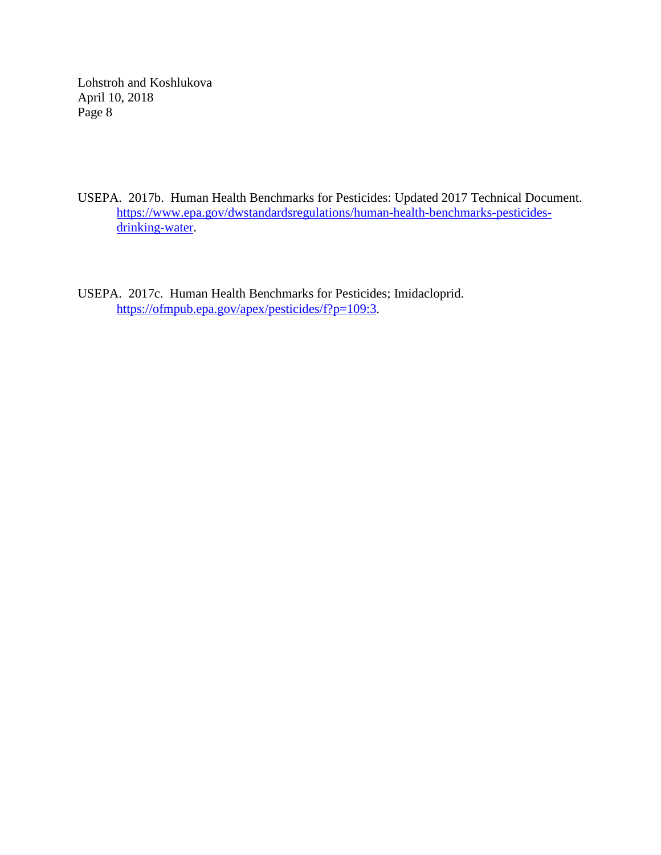- USEPA. 2017b. Human Health Benchmarks for Pesticides: Updated 2017 Technical Document. [https://www.epa.gov/dwstandardsregulations/human-health-benchmarks-pesticides](https://www.epa.gov/dwstandardsregulations/human-health-benchmarks-pesticides-drinking-water)[drinking-water.](https://www.epa.gov/dwstandardsregulations/human-health-benchmarks-pesticides-drinking-water)
- USEPA. 2017c. Human Health Benchmarks for Pesticides; Imidacloprid. [https://ofmpub.epa.gov/apex/pesticides/f?p=109:3.](https://ofmpub.epa.gov/apex/pesticides/f?p=109:3)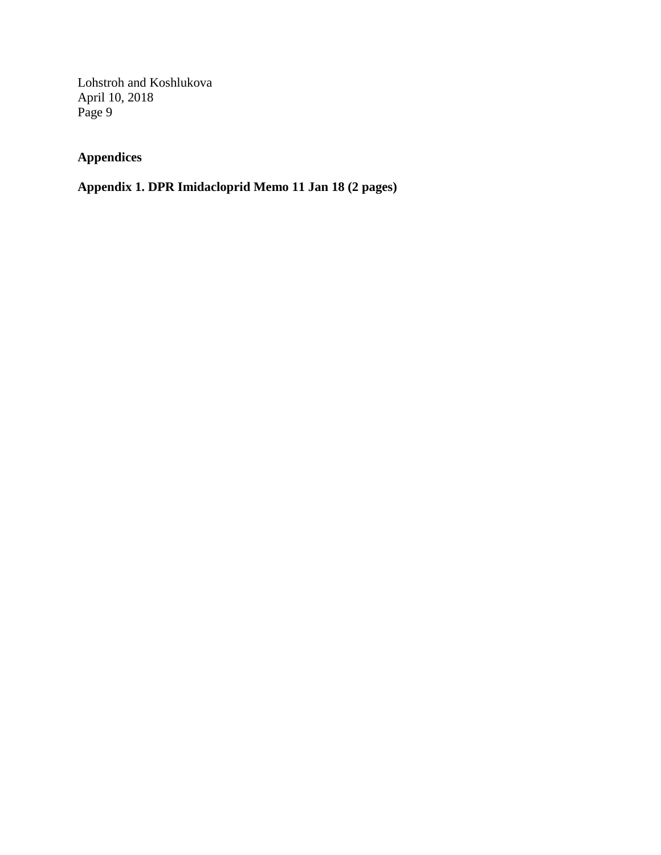## **Appendices**

## **Appendix 1. DPR Imidacloprid Memo 11 Jan 18 (2 pages)**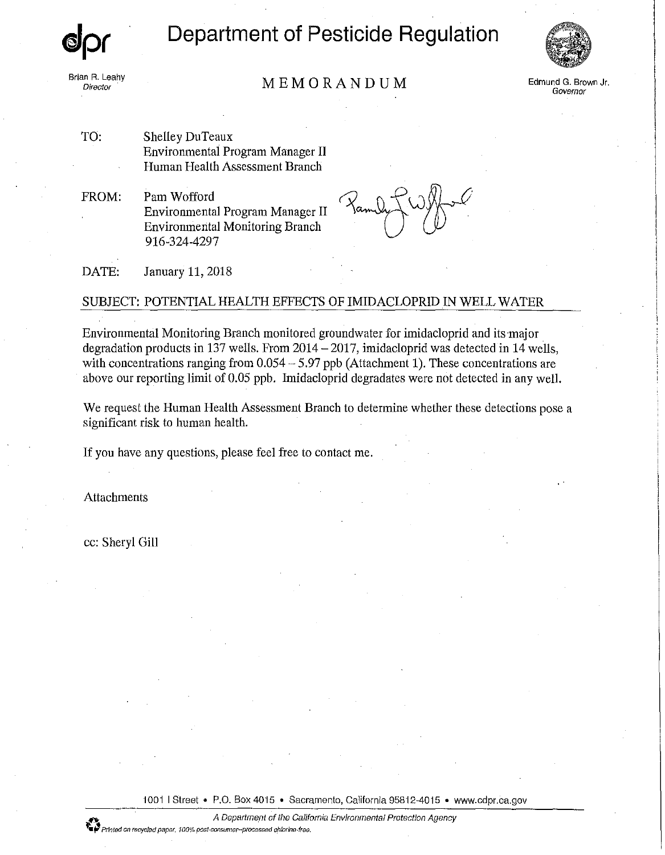*elpr* 

Brian R. Leahy<br>Director

Department of Pesticide Regulation



MEMORANDUM Director Edmund G. Brown Jr.

Governor

TO: Shelley DuTeaux Environmental Program Manager II Human Health Assessment Branch

FROM: Pam Wofford Environmental Program Manager II Environmental Monitoring Branch 916-324-4297

DATE: January 11, 2018

#### SUBJECT: POTENTIAL HEALTH EFFECTS OF IMIDACLOPRID IN WELL WATER

Environmental Monitoring Branch monitored groundwater for imidacloprid and its·major degradation products in 137 wells. From  $2014 - 2017$ , imidacloprid was detected in 14 wells, with concentrations ranging from 0.054 - 5.97 ppb (Attachment 1). These concentrations are above our reporting limit of 0.05 ppb. Imidacloprid degradates were not detected in any well.

We request the Human Health Assessment Branch to determine whether these detections pose a significant risk to human health.

If you have any questions, please feel free to contact me.

Attachments

cc: Sheryl Gill

1001 | Street • P.O. Box 4015 • Sacramento, California 95812-4015 • www.cdpr.ca.gov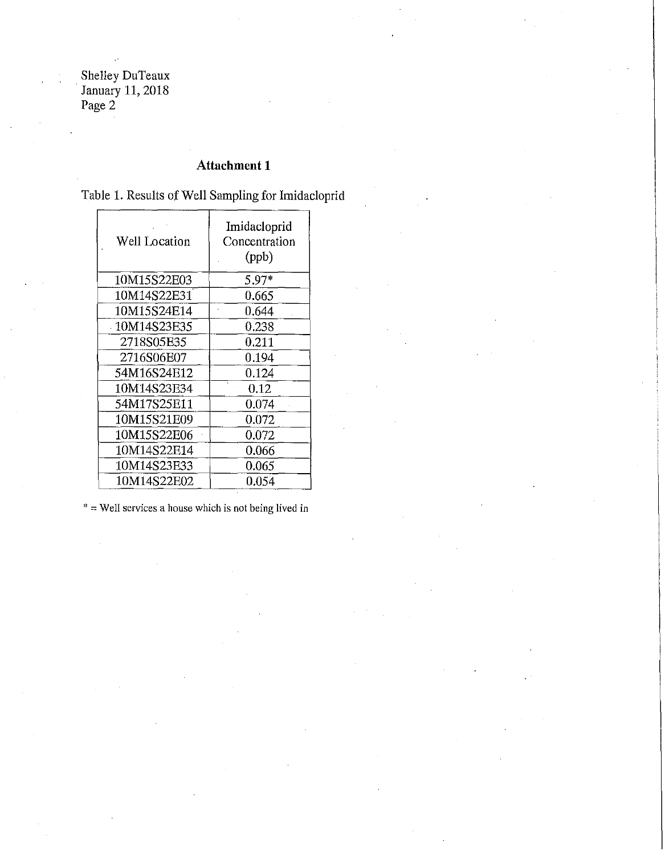Shelley DuTeaux · January 11, 2018 Page 2

## **Attachment 1**

Table 1. Results of Well Sampling for Imidacloprid

| Well Location | Imidacloprid<br>Concentration<br>(ppb) |
|---------------|----------------------------------------|
| 10M15S22E03   | 5.97*                                  |
| 10M14S22E31   | 0.665                                  |
| 10M15S24E14   | 0.644                                  |
| 10M14S23E35   | 0.238                                  |
| 2718S05E35    | 0.211                                  |
| 2716S06E07    | 0.194                                  |
| 54M16S24E12   | 0.124                                  |
| 10M14S23E34   | 0.12                                   |
| 54M17S25E11   | 0.074                                  |
| 10M15S21E09   | 0.072                                  |
| 10M15S22E06   | 0.072                                  |
| 10M14S22E14   | 0.066                                  |
| 10M14S23E33   | 0.065                                  |
| 10M14S22E02   | 0.054                                  |

 $* =$  Well services a house which is not being lived in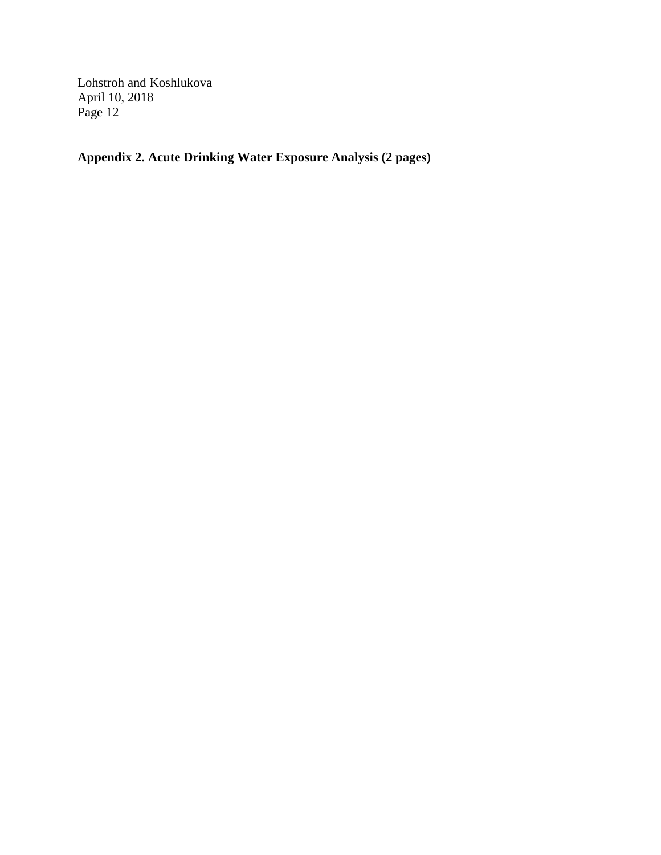**Appendix 2. Acute Drinking Water Exposure Analysis (2 pages)**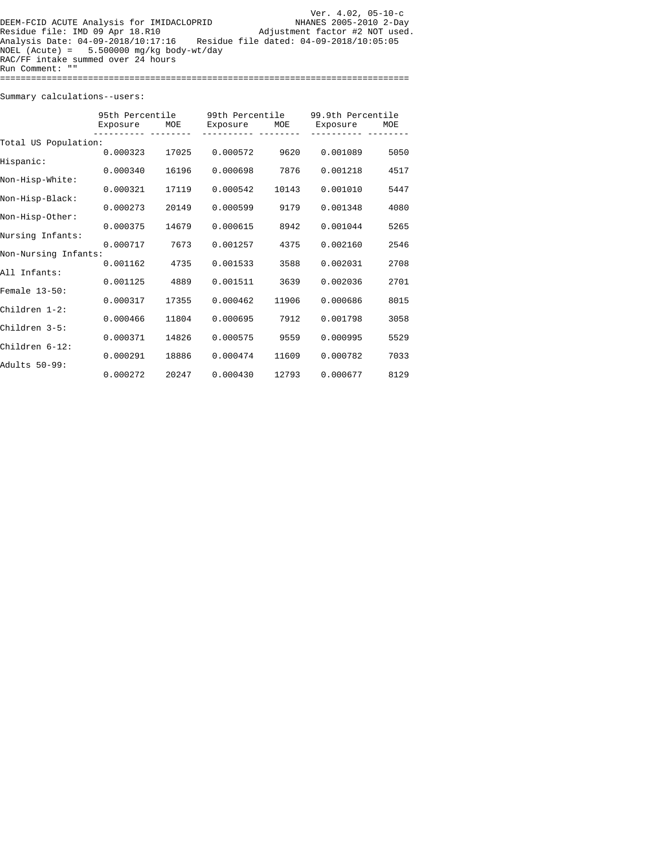|                                             | Ver. $4.02, 05-10-c$                    |
|---------------------------------------------|-----------------------------------------|
| DEEM-FCID ACUTE Analysis for IMIDACLOPRID   | NHANES 2005-2010 2-Day                  |
| Residue file: IMD 09 Apr 18.R10             | Adjustment factor #2 NOT used.          |
| Analysis Date: 04-09-2018/10:17:16          | Residue file dated: 04-09-2018/10:05:05 |
| NOEL (Acute) = $5.500000$ mg/kg body-wt/day |                                         |
| RAC/FF intake summed over 24 hours          |                                         |
| Run Comment: ""                             |                                         |
|                                             |                                         |

Summary calculations--users:

| Exposure             | MOE                                                                  | Exposure                                                   | MOE                                                      | Exposure                                                 | MOE                                                                                       |  |  |
|----------------------|----------------------------------------------------------------------|------------------------------------------------------------|----------------------------------------------------------|----------------------------------------------------------|-------------------------------------------------------------------------------------------|--|--|
| Total US Population: |                                                                      |                                                            |                                                          |                                                          |                                                                                           |  |  |
|                      | 17025                                                                | 0.000572                                                   | 9620                                                     |                                                          | 5050                                                                                      |  |  |
| 0.000340             | 16196                                                                | 0.000698                                                   | 7876                                                     | 0.001218                                                 | 4517                                                                                      |  |  |
|                      |                                                                      |                                                            |                                                          |                                                          | 5447                                                                                      |  |  |
|                      |                                                                      |                                                            |                                                          |                                                          |                                                                                           |  |  |
|                      |                                                                      |                                                            |                                                          |                                                          | 4080                                                                                      |  |  |
| 0.000375             | 14679                                                                | 0.000615                                                   | 8942                                                     | 0.001044                                                 | 5265                                                                                      |  |  |
| 0.000717             | 7673                                                                 | 0.001257                                                   | 4375                                                     | 0.002160                                                 | 2546                                                                                      |  |  |
| Non-Nursing Infants: |                                                                      |                                                            |                                                          |                                                          | 2708                                                                                      |  |  |
|                      |                                                                      |                                                            |                                                          |                                                          |                                                                                           |  |  |
|                      |                                                                      |                                                            |                                                          |                                                          | 2701                                                                                      |  |  |
| 0.000317             | 17355                                                                | 0.000462                                                   | 11906                                                    | 0.000686                                                 | 8015                                                                                      |  |  |
| 0.000466             | 11804                                                                | 0.000695                                                   | 7912                                                     | 0.001798                                                 | 3058                                                                                      |  |  |
|                      |                                                                      |                                                            |                                                          |                                                          |                                                                                           |  |  |
|                      |                                                                      |                                                            |                                                          |                                                          | 5529                                                                                      |  |  |
| 0.000291             | 18886                                                                | 0.000474                                                   | 11609                                                    | 0.000782                                                 | 7033                                                                                      |  |  |
| 0.000272             | 20247                                                                | 0.000430                                                   | 12793                                                    | 0.000677                                                 | 8129                                                                                      |  |  |
|                      | 0.000323<br>0.000321<br>0.000273<br>0.001162<br>0.001125<br>0.000371 | 95th Percentile<br>17119<br>20149<br>4735<br>4889<br>14826 | 0.000542<br>0.000599<br>0.001533<br>0.001511<br>0.000575 | 99th Percentile<br>10143<br>9179<br>3588<br>3639<br>9559 | 99.9th Percentile<br>0.001089<br>0.001010<br>0.001348<br>0.002031<br>0.002036<br>0.000995 |  |  |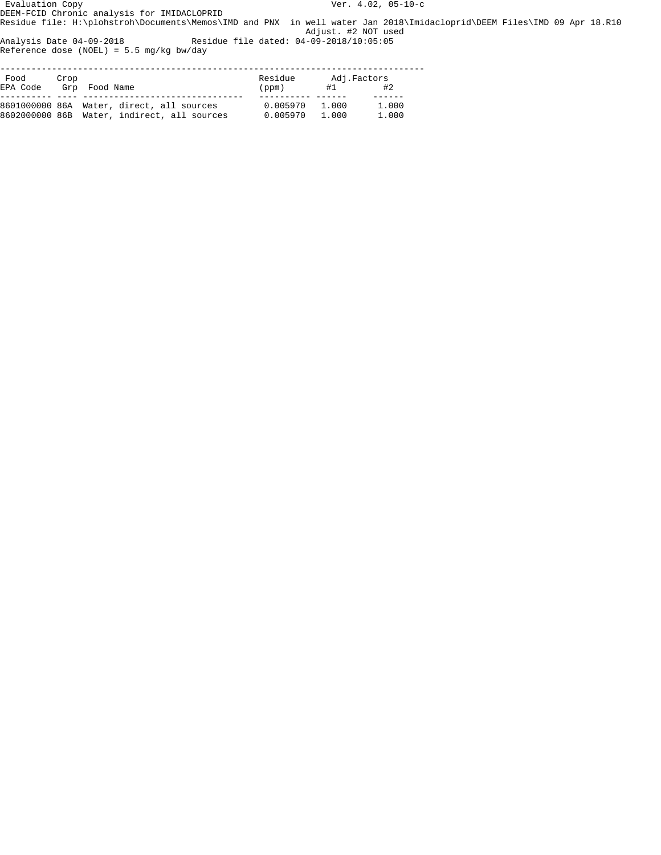Evaluation Copy Ver. 4.02, 05-10-c DEEM-FCID Chronic analysis for IMIDACLOPRID

Residue file: H:\plohstroh\Documents\Memos\IMD and PNX in well water Jan 2018\Imidacloprid\DEEM Files\IMD 09 Apr 18.R10 Adjust. #2 NOT used

Analysis Date 04-09-2018 Residue file dated: 04-09-2018/10:05:05 Reference dose (NOEL) = 5.5 mg/kg bw/day

| Food     | Crop |                                             | Residue  | Adj.Factors |       |  |
|----------|------|---------------------------------------------|----------|-------------|-------|--|
| EPA Code |      | Grp Food Name                               | (ppm)    | #1          | #2    |  |
|          |      | 8601000000 86A Water, direct, all sources   | 0.005970 | 1.000       | 1.000 |  |
|          |      | 8602000000 86B Water, indirect, all sources | 0.005970 | 1.000       | 1.000 |  |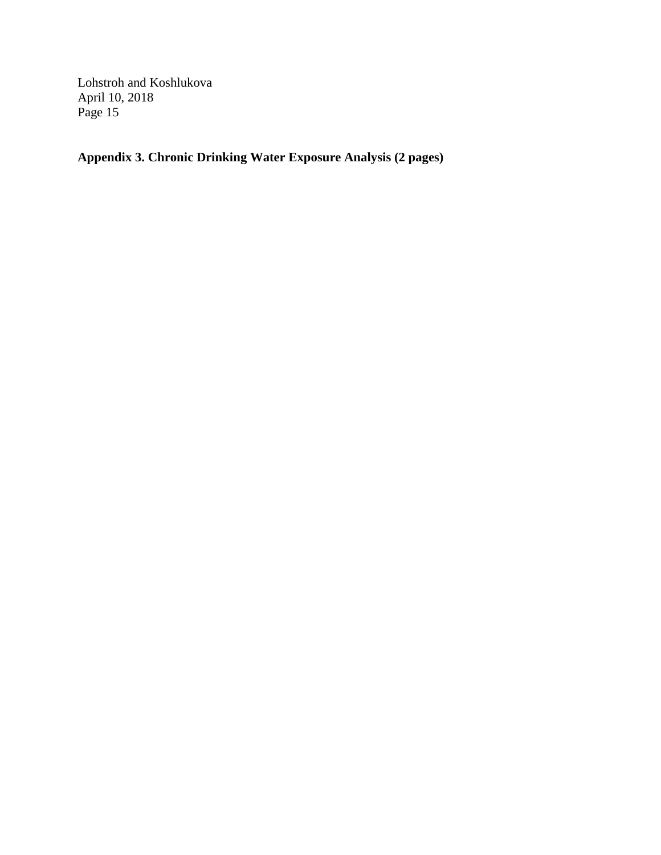**Appendix 3. Chronic Drinking Water Exposure Analysis (2 pages)**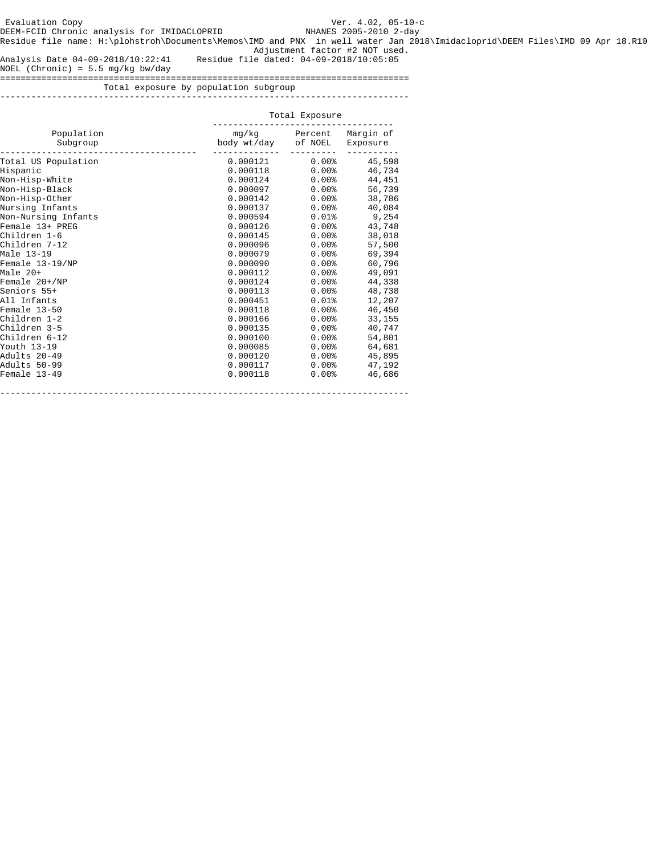Residue file name: H:\plohstroh\Documents\Memos\IMD and PNX in well water Jan 2018\Imidacloprid\DEEM Files\IMD 09 Apr 18.R10 Adjustment factor #2 NOT used.

Analysis Date 04-09-2018/10:22:41 Residue file dated: 04-09-2018/10:05:05

NOEL (Chronic) = 5.5 mg/kg bw/day

===============================================================================

 Total exposure by population subgroup -------------------------------------------------------------------------------

|                                 |                              | Total Exposure          |                  |  |  |  |
|---------------------------------|------------------------------|-------------------------|------------------|--|--|--|
| Population<br>Subgroup          | body wt/day of NOEL Exposure | mg/kg Percent Margin of |                  |  |  |  |
| Total US Population<br>Hispanic | 0.000121<br>0.000118         | $0.00\%$<br>0.00%       | 45,598<br>46,734 |  |  |  |
| Non-Hisp-White                  | 0.000124                     | $0.00\%$                | 44,451           |  |  |  |
| Non-Hisp-Black                  | 0.000097                     | $0.00\%$                | 56,739           |  |  |  |
| Non-Hisp-Other                  | 0.000142                     | $0.00\%$                | 38,786           |  |  |  |
| Nursing Infants                 | 0.000137                     | $0.00\%$                | 40,084           |  |  |  |
| Non-Nursing Infants             | 0.000594                     | $0.01\$                 | 9,254            |  |  |  |
| Female 13+ PREG                 | 0.000126                     | $0.00\%$                | 43,748           |  |  |  |
| Children 1-6                    | 0.000145                     | $0.00\%$                | 38,018           |  |  |  |
| Children 7-12                   | 0.000096                     | $0.00\%$                | 57,500           |  |  |  |
| Male 13-19                      | 0.000079                     | $0.00\%$                | 69,394           |  |  |  |
| Female 13-19/NP                 | 0.000090                     | $0.00\%$                | 60,796           |  |  |  |
| Male 20+                        | 0.000112                     | $0.00\%$                | 49,091           |  |  |  |
| Female 20+/NP                   | 0.000124                     | $0.00\%$                | 44,338           |  |  |  |
| Seniors 55+                     | 0.000113                     | $0.00\%$                | 48,738           |  |  |  |
| All Infants                     | 0.000451                     | $0.01\$                 | 12,207           |  |  |  |
| Female 13-50                    | 0.000118                     | $0.00\%$                | 46,450           |  |  |  |
| Children 1-2                    | 0.000166                     | $0.00\%$                | 33,155           |  |  |  |
| Children 3-5                    | 0.000135                     | $0.00\%$                | 40,747           |  |  |  |
| Children 6-12                   | 0.000100                     | $0.00\%$                | 54,801           |  |  |  |
| Youth 13–19                     | 0.000085                     | $0.00\%$                | 64,681           |  |  |  |
| Adults 20–49                    | 0.000120                     | $0.00\%$                | 45,895           |  |  |  |
| Adults 50–99                    | 0.000117                     | $0.00\%$                | 47,192           |  |  |  |
| Female 13-49                    | 0.000118                     | $0.00\%$                | 46,686           |  |  |  |

-------------------------------------------------------------------------------